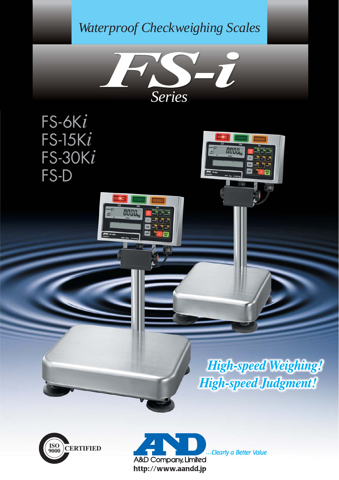# *Waterproof Checkweighing Scales*



0000

FS-6K*i* FS-15K*i* FS-30K*i* FS-D

# **High-speed Weighing! High-speed Judgment!**





Clearly a Better Value

0000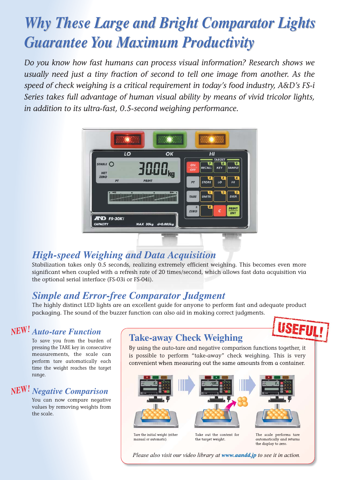# *Why These Large and Bright Comparator Lights Why These Large and Bright Comparator Lights Guarantee You Maximum Productivity Guarantee You Maximum Productivity*

*Do you know how fast humans can process visual information? Research shows we usually need just a tiny fraction of second to tell one image from another. As the speed of check weighing is a critical requirement in today's food industry, A&D's FS-i Series takes full advantage of human visual ability by means of vivid tricolor lights, in addition to its ultra-fast, 0.5-second weighing performance.*



# *High-speed Weighing and Data Acquisition*

Stabilization takes only 0.5 seconds, realizing extremely efficient weighing. This becomes even more significant when coupled with a refresh rate of 20 times/second, which allows fast data acquisition via the optional serial interface (FS-03i or FS-04i).

# *Simple and Error-free Comparator Judgment*

The highly distinct LED lights are an excellent guide for anyone to perform fast and adequate product packaging. The sound of the buzzer function can also aid in making correct judgments.

# *Auto-tare Function NEW!*

To save you from the burden of pressing the TARE key in consecutive measurements, the scale can perform tare automatically each time the weight reaches the target range.

# *Negative Comparison NEW!*

You can now compare negative values by removing weights from the scale.

# **Take-away Check Weighing**

By using the auto-tare and negative comparison functions together, it is possible to perform "take-away" check weighing. This is very convenient when measuring out the same amounts from a container.

**SEFUL!** 



Please also visit our video library at www.aandd.jp to see it in action.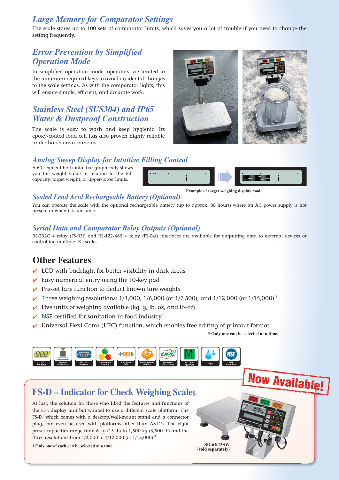## *Large Memory for Comparator Settings*

The scale stores up to 100 sets of comparator limits, which saves you a lot of trouble if you need to change the setting frequently.

## *Error Prevention by Simplified Operation Mode*

In simplified operation mode, operators are limited to the minimum required keys to avoid accidental changes to the scale settings. As with the comparator lights, this will ensure simple, efficient, and accurate work.

## *Stainless Steel (SUS304) and IP65 Water & Dustproof Construction*

The scale is easy to wash and keep hygienic. Its epoxy-coated load cell has also proven highly reliable under harsh environments.



### *Analog Sweep Display for Intuitive Filling Control*

A 60-segment horizontal bar graphically shows you the weight value in relation to the full capacity, target weight, or upper/lower limits.



### *Sealed Lead Acid Rechargeable Battery (Optional)*

You can operate the scale with the optional rechargeable battery (up to approx. 80 hours) where an AC power supply is not present or when it is unstable.

### *Serial Data and Comparator Relay Outputs (Optional)*

RS-232C + relay (FS-03i) and RS-422/485 + relay (FS-04i) interfaces are available for outputting data to external devices or controlling multiple FS-i scales.

## **Other Features**

- $\vee$  LCD with backlight for better visibility in dark areas
- $\vee$  Easy numerical entry using the 10-key pad
- $\vee$  Pre-set tare function to deduct known tare weights
- Three weighing resolutions: 1/3,000, 1/6,000 (or 1/7,500), and 1/12,000 (or 1/15,000)**\***
- $\checkmark$  Five units of weighing available (kg, g, lb, oz, and lb-oz)
- $\vee$  NSF-certified for sanitation in food industry
- $\vee$  Universal Flexi Coms (UFC) function, which enables free editing of printout format

**\*Only one can be selected at a time.**

**Now Available!** 



## **FS-D – Indicator for Check Weighing Scales**

At last, the solution for those who liked the features and functions of the FS-i display unit but wanted to use a different scale platform. The FS-D, which comes with a desktop/wall-mount stand and a connector plug, can even be used with platforms other than A&D's. The eight preset capacities range from 6 kg (15 lb) to 1,500 kg (3,500 lb) and the three resolutions from 1/3,000 to 1/12,000 (or 1/15,000)**\***.

**\*Only one of each can be selected at a time. SB-6K13SW**

 **(sold separately)**